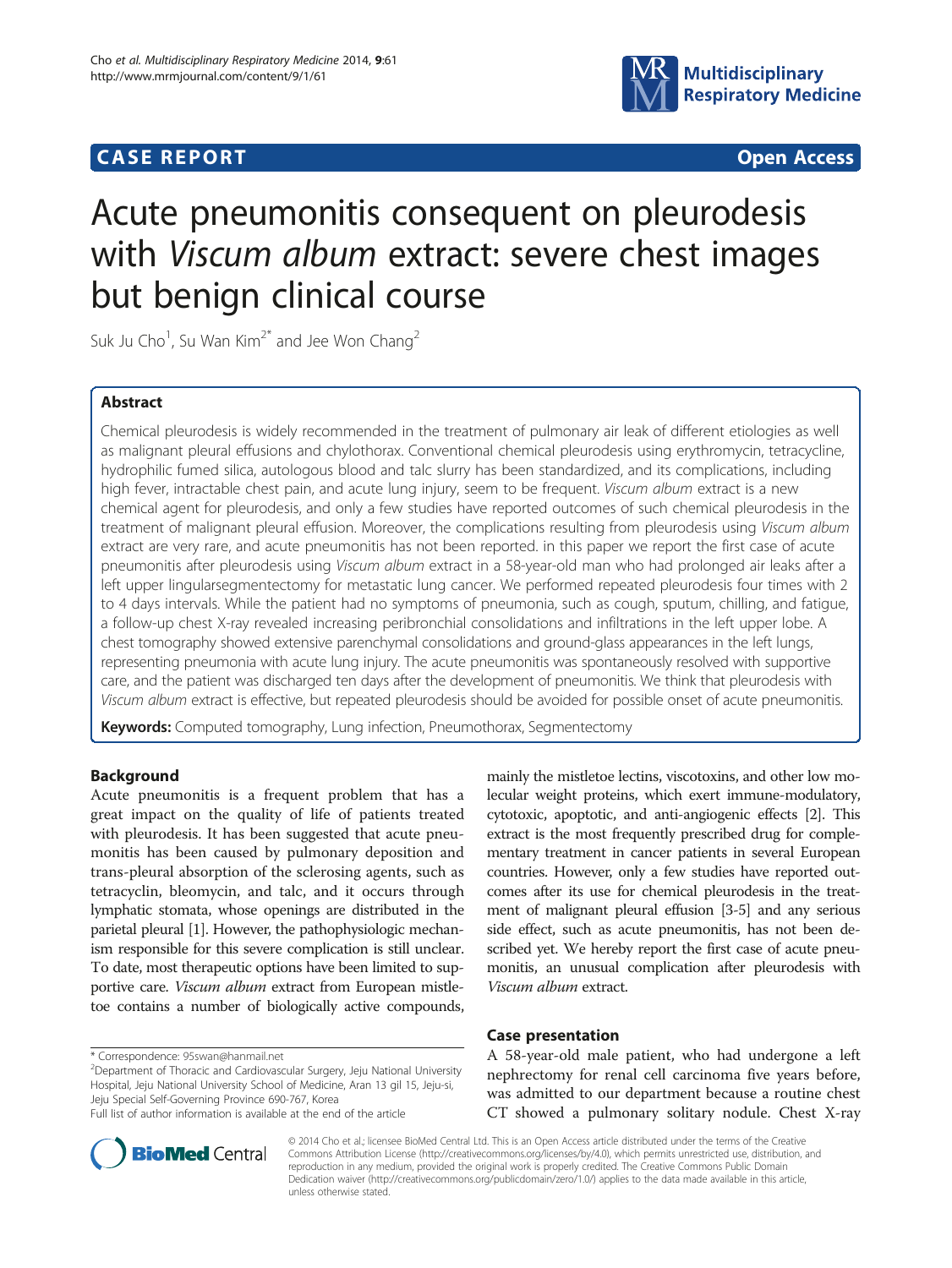# **CASE REPORT CASE REPORT CASE REPORT**



# Acute pneumonitis consequent on pleurodesis with Viscum album extract: severe chest images but benign clinical course

Suk Ju Cho<sup>1</sup>, Su Wan Kim<sup>2\*</sup> and Jee Won Chang<sup>2</sup>

# Abstract

Chemical pleurodesis is widely recommended in the treatment of pulmonary air leak of different etiologies as well as malignant pleural effusions and chylothorax. Conventional chemical pleurodesis using erythromycin, tetracycline, hydrophilic fumed silica, autologous blood and talc slurry has been standardized, and its complications, including high fever, intractable chest pain, and acute lung injury, seem to be frequent. *Viscum album* extract is a new chemical agent for pleurodesis, and only a few studies have reported outcomes of such chemical pleurodesis in the treatment of malignant pleural effusion. Moreover, the complications resulting from pleurodesis using Viscum album extract are very rare, and acute pneumonitis has not been reported. in this paper we report the first case of acute pneumonitis after pleurodesis using Viscum album extract in a 58-year-old man who had prolonged air leaks after a left upper lingularsegmentectomy for metastatic lung cancer. We performed repeated pleurodesis four times with 2 to 4 days intervals. While the patient had no symptoms of pneumonia, such as cough, sputum, chilling, and fatigue, a follow-up chest X-ray revealed increasing peribronchial consolidations and infiltrations in the left upper lobe. A chest tomography showed extensive parenchymal consolidations and ground-glass appearances in the left lungs, representing pneumonia with acute lung injury. The acute pneumonitis was spontaneously resolved with supportive care, and the patient was discharged ten days after the development of pneumonitis. We think that pleurodesis with Viscum album extract is effective, but repeated pleurodesis should be avoided for possible onset of acute pneumonitis.

Keywords: Computed tomography, Lung infection, Pneumothorax, Segmentectomy

# Background

Acute pneumonitis is a frequent problem that has a great impact on the quality of life of patients treated with pleurodesis. It has been suggested that acute pneumonitis has been caused by pulmonary deposition and trans-pleural absorption of the sclerosing agents, such as tetracyclin, bleomycin, and talc, and it occurs through lymphatic stomata, whose openings are distributed in the parietal pleural [[1](#page-3-0)]. However, the pathophysiologic mechanism responsible for this severe complication is still unclear. To date, most therapeutic options have been limited to supportive care. *Viscum album* extract from European mistletoe contains a number of biologically active compounds,

\* Correspondence: [95swan@hanmail.net](mailto:95swan@hanmail.net) <sup>2</sup>

Department of Thoracic and Cardiovascular Surgery, Jeju National University Hospital, Jeju National University School of Medicine, Aran 13 gil 15, Jeju-si, Jeju Special Self-Governing Province 690-767, Korea



# Case presentation

A 58-year-old male patient, who had undergone a left nephrectomy for renal cell carcinoma five years before, was admitted to our department because a routine chest CT showed a pulmonary solitary nodule. Chest X-ray



© 2014 Cho et al.; licensee BioMed Central Ltd. This is an Open Access article distributed under the terms of the Creative Commons Attribution License [\(http://creativecommons.org/licenses/by/4.0\)](http://creativecommons.org/licenses/by/4.0), which permits unrestricted use, distribution, and reproduction in any medium, provided the original work is properly credited. The Creative Commons Public Domain Dedication waiver [\(http://creativecommons.org/publicdomain/zero/1.0/](http://creativecommons.org/publicdomain/zero/1.0/)) applies to the data made available in this article, unless otherwise stated.

Full list of author information is available at the end of the article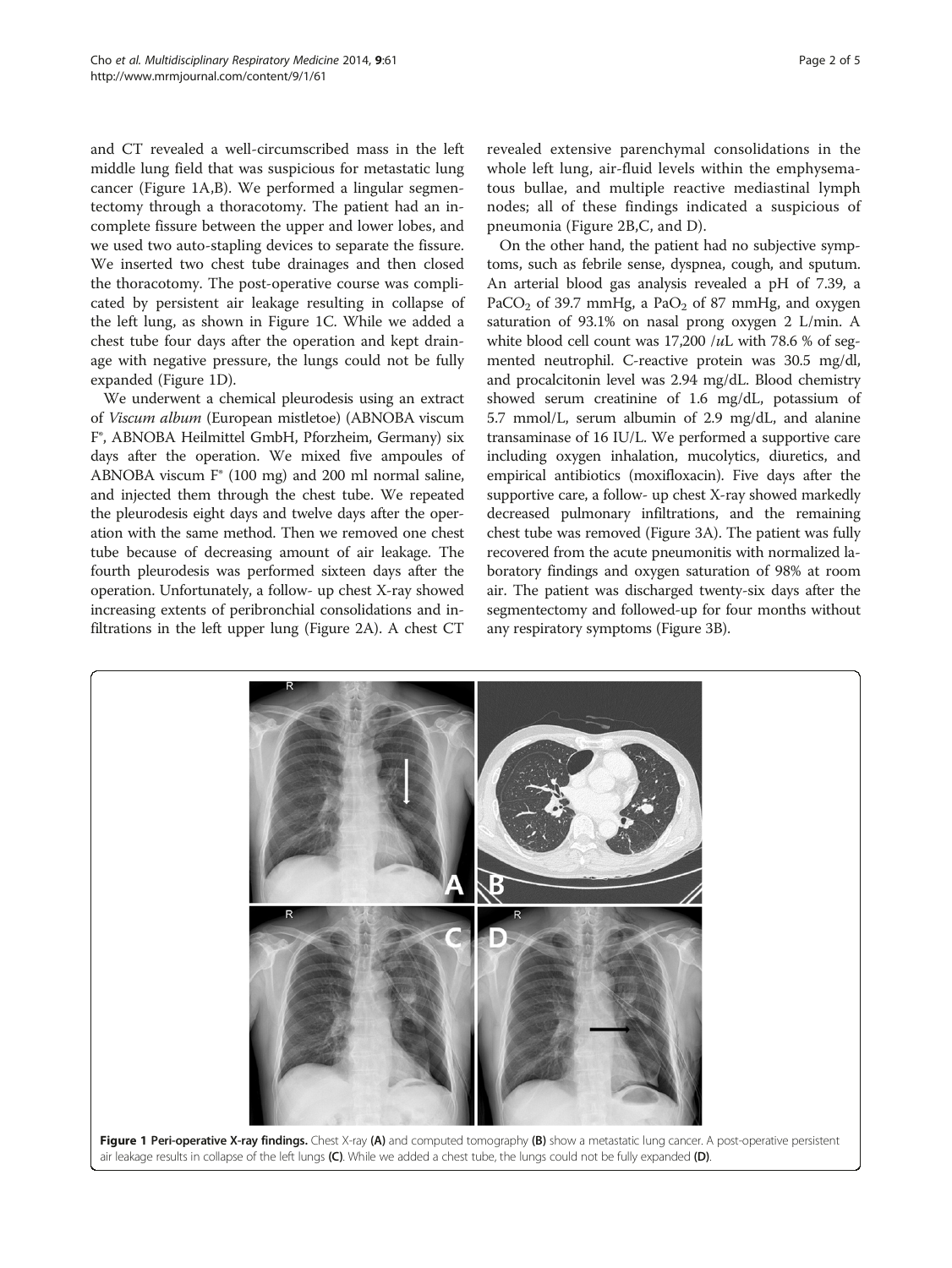and CT revealed a well-circumscribed mass in the left middle lung field that was suspicious for metastatic lung cancer (Figure 1A,B). We performed a lingular segmentectomy through a thoracotomy. The patient had an incomplete fissure between the upper and lower lobes, and we used two auto-stapling devices to separate the fissure. We inserted two chest tube drainages and then closed the thoracotomy. The post-operative course was complicated by persistent air leakage resulting in collapse of the left lung, as shown in Figure 1C. While we added a chest tube four days after the operation and kept drainage with negative pressure, the lungs could not be fully expanded (Figure 1D).

We underwent a chemical pleurodesis using an extract of Viscum album (European mistletoe) (ABNOBA viscum F®, ABNOBA Heilmittel GmbH, Pforzheim, Germany) six days after the operation. We mixed five ampoules of ABNOBA viscum  $F<sup>®</sup>$  (100 mg) and 200 ml normal saline, and injected them through the chest tube. We repeated the pleurodesis eight days and twelve days after the operation with the same method. Then we removed one chest tube because of decreasing amount of air leakage. The fourth pleurodesis was performed sixteen days after the operation. Unfortunately, a follow- up chest X-ray showed increasing extents of peribronchial consolidations and infiltrations in the left upper lung (Figure [2](#page-2-0)A). A chest CT revealed extensive parenchymal consolidations in the whole left lung, air-fluid levels within the emphysematous bullae, and multiple reactive mediastinal lymph nodes; all of these findings indicated a suspicious of pneumonia (Figure [2B](#page-2-0),C, and D).

On the other hand, the patient had no subjective symptoms, such as febrile sense, dyspnea, cough, and sputum. An arterial blood gas analysis revealed a pH of 7.39, a PaCO<sub>2</sub> of 39.7 mmHg, a PaO<sub>2</sub> of 87 mmHg, and oxygen saturation of 93.1% on nasal prong oxygen 2 L/min. A white blood cell count was  $17,200$  /uL with 78.6 % of segmented neutrophil. C-reactive protein was 30.5 mg/dl, and procalcitonin level was 2.94 mg/dL. Blood chemistry showed serum creatinine of 1.6 mg/dL, potassium of 5.7 mmol/L, serum albumin of 2.9 mg/dL, and alanine transaminase of 16 IU/L. We performed a supportive care including oxygen inhalation, mucolytics, diuretics, and empirical antibiotics (moxifloxacin). Five days after the supportive care, a follow- up chest X-ray showed markedly decreased pulmonary infiltrations, and the remaining chest tube was removed (Figure [3A](#page-2-0)). The patient was fully recovered from the acute pneumonitis with normalized laboratory findings and oxygen saturation of 98% at room air. The patient was discharged twenty-six days after the segmentectomy and followed-up for four months without any respiratory symptoms (Figure [3](#page-2-0)B).

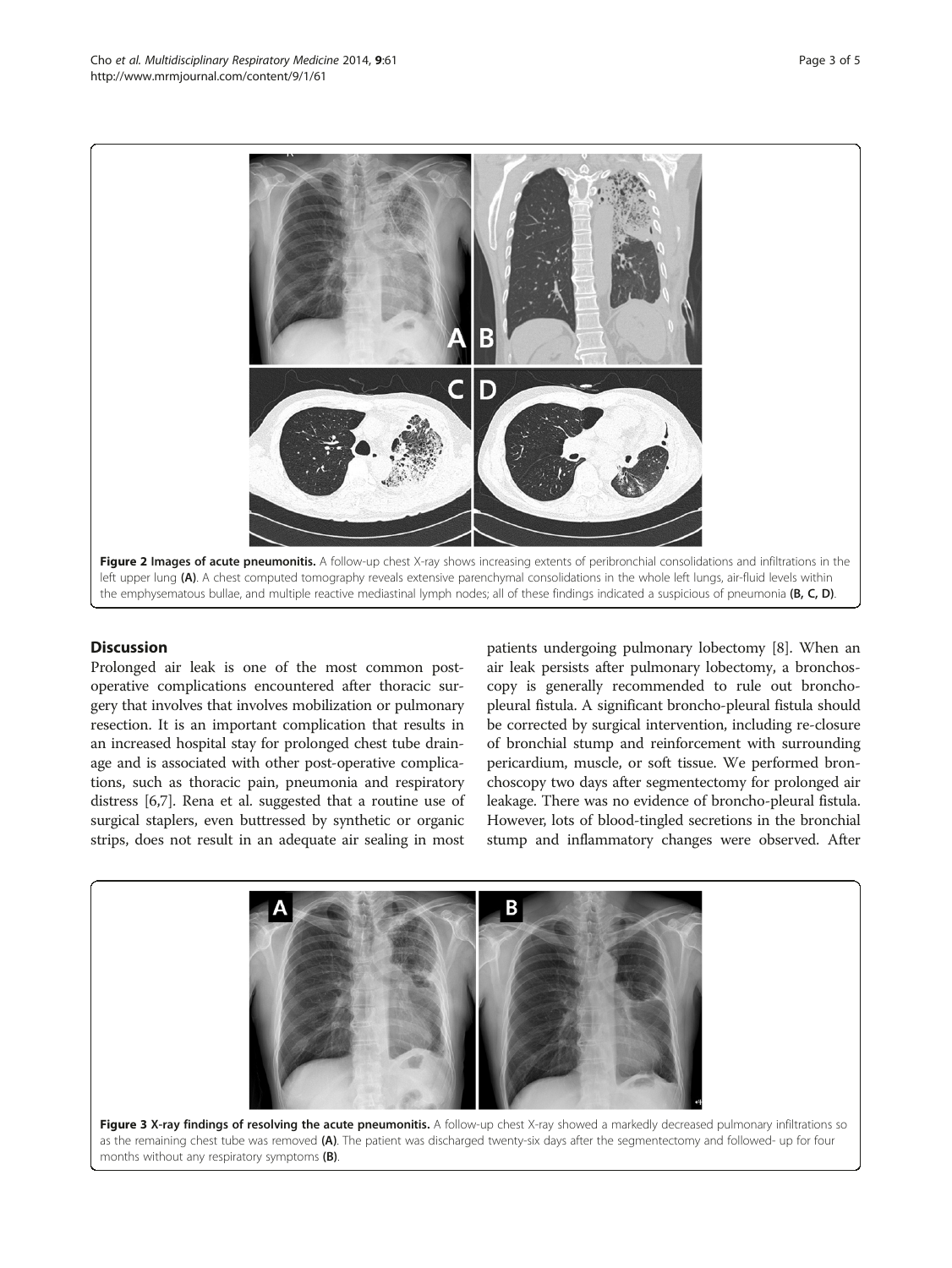<span id="page-2-0"></span>

# **Discussion**

Prolonged air leak is one of the most common postoperative complications encountered after thoracic surgery that involves that involves mobilization or pulmonary resection. It is an important complication that results in an increased hospital stay for prolonged chest tube drainage and is associated with other post-operative complications, such as thoracic pain, pneumonia and respiratory distress [\[6,7](#page-4-0)]. Rena et al. suggested that a routine use of surgical staplers, even buttressed by synthetic or organic strips, does not result in an adequate air sealing in most

patients undergoing pulmonary lobectomy [\[8\]](#page-4-0). When an air leak persists after pulmonary lobectomy, a bronchoscopy is generally recommended to rule out bronchopleural fistula. A significant broncho-pleural fistula should be corrected by surgical intervention, including re-closure of bronchial stump and reinforcement with surrounding pericardium, muscle, or soft tissue. We performed bronchoscopy two days after segmentectomy for prolonged air leakage. There was no evidence of broncho-pleural fistula. However, lots of blood-tingled secretions in the bronchial stump and inflammatory changes were observed. After

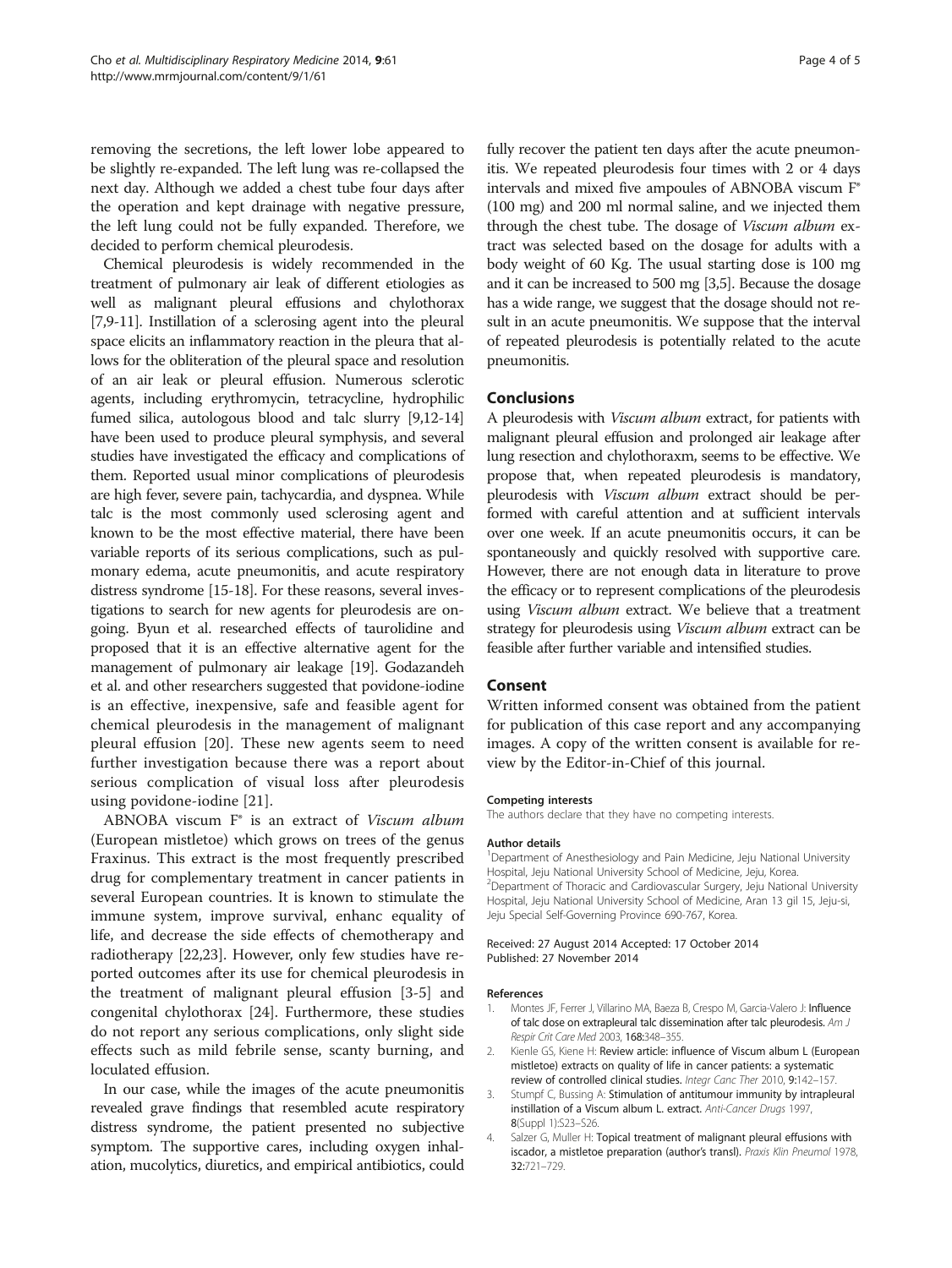<span id="page-3-0"></span>removing the secretions, the left lower lobe appeared to be slightly re-expanded. The left lung was re-collapsed the next day. Although we added a chest tube four days after the operation and kept drainage with negative pressure, the left lung could not be fully expanded. Therefore, we decided to perform chemical pleurodesis.

Chemical pleurodesis is widely recommended in the treatment of pulmonary air leak of different etiologies as well as malignant pleural effusions and chylothorax [[7,9](#page-4-0)-[11](#page-4-0)]. Instillation of a sclerosing agent into the pleural space elicits an inflammatory reaction in the pleura that allows for the obliteration of the pleural space and resolution of an air leak or pleural effusion. Numerous sclerotic agents, including erythromycin, tetracycline, hydrophilic fumed silica, autologous blood and talc slurry [\[9,12-14](#page-4-0)] have been used to produce pleural symphysis, and several studies have investigated the efficacy and complications of them. Reported usual minor complications of pleurodesis are high fever, severe pain, tachycardia, and dyspnea. While talc is the most commonly used sclerosing agent and known to be the most effective material, there have been variable reports of its serious complications, such as pulmonary edema, acute pneumonitis, and acute respiratory distress syndrome [\[15-18\]](#page-4-0). For these reasons, several investigations to search for new agents for pleurodesis are ongoing. Byun et al. researched effects of taurolidine and proposed that it is an effective alternative agent for the management of pulmonary air leakage [\[19](#page-4-0)]. Godazandeh et al. and other researchers suggested that povidone-iodine is an effective, inexpensive, safe and feasible agent for chemical pleurodesis in the management of malignant pleural effusion [[20\]](#page-4-0). These new agents seem to need further investigation because there was a report about serious complication of visual loss after pleurodesis using povidone-iodine [\[21](#page-4-0)].

ABNOBA viscum  $F<sup>°</sup>$  is an extract of *Viscum album* (European mistletoe) which grows on trees of the genus Fraxinus. This extract is the most frequently prescribed drug for complementary treatment in cancer patients in several European countries. It is known to stimulate the immune system, improve survival, enhanc equality of life, and decrease the side effects of chemotherapy and radiotherapy [[22,23\]](#page-4-0). However, only few studies have reported outcomes after its use for chemical pleurodesis in the treatment of malignant pleural effusion [3[-5](#page-4-0)] and congenital chylothorax [[24\]](#page-4-0). Furthermore, these studies do not report any serious complications, only slight side effects such as mild febrile sense, scanty burning, and loculated effusion.

In our case, while the images of the acute pneumonitis revealed grave findings that resembled acute respiratory distress syndrome, the patient presented no subjective symptom. The supportive cares, including oxygen inhalation, mucolytics, diuretics, and empirical antibiotics, could

fully recover the patient ten days after the acute pneumonitis. We repeated pleurodesis four times with 2 or 4 days intervals and mixed five ampoules of ABNOBA viscum F® (100 mg) and 200 ml normal saline, and we injected them through the chest tube. The dosage of Viscum album extract was selected based on the dosage for adults with a body weight of 60 Kg. The usual starting dose is 100 mg and it can be increased to 500 mg [3[,5\]](#page-4-0). Because the dosage has a wide range, we suggest that the dosage should not result in an acute pneumonitis. We suppose that the interval of repeated pleurodesis is potentially related to the acute pneumonitis.

### Conclusions

A pleurodesis with *Viscum album* extract, for patients with malignant pleural effusion and prolonged air leakage after lung resection and chylothoraxm, seems to be effective. We propose that, when repeated pleurodesis is mandatory, pleurodesis with Viscum album extract should be performed with careful attention and at sufficient intervals over one week. If an acute pneumonitis occurs, it can be spontaneously and quickly resolved with supportive care. However, there are not enough data in literature to prove the efficacy or to represent complications of the pleurodesis using Viscum album extract. We believe that a treatment strategy for pleurodesis using Viscum album extract can be feasible after further variable and intensified studies.

## Consent

Written informed consent was obtained from the patient for publication of this case report and any accompanying images. A copy of the written consent is available for review by the Editor-in-Chief of this journal.

#### Competing interests

The authors declare that they have no competing interests.

#### Author details

<sup>1</sup>Department of Anesthesiology and Pain Medicine, Jeju National University Hospital, Jeju National University School of Medicine, Jeju, Korea. <sup>2</sup>Department of Thoracic and Cardiovascular Surgery, Jeju National University Hospital, Jeju National University School of Medicine, Aran 13 gil 15, Jeju-si, Jeju Special Self-Governing Province 690-767, Korea.

#### Received: 27 August 2014 Accepted: 17 October 2014 Published: 27 November 2014

#### References

- 1. Montes JF, Ferrer J, Villarino MA, Baeza B, Crespo M, Garcia-Valero J: Influence of talc dose on extrapleural talc dissemination after talc pleurodesis. Am J Respir Crit Care Med 2003, 168:348–355.
- 2. Kienle GS, Kiene H: Review article: influence of Viscum album L (European mistletoe) extracts on quality of life in cancer patients: a systematic review of controlled clinical studies. Integr Canc Ther 2010, 9:142-157.
- 3. Stumpf C, Bussing A: Stimulation of antitumour immunity by intrapleural instillation of a Viscum album L. extract. Anti-Cancer Drugs 1997, 8(Suppl 1):S23–S26.
- 4. Salzer G, Muller H: Topical treatment of malignant pleural effusions with iscador, a mistletoe preparation (author's transl). Praxis Klin Pneumol 1978, 32:721–729.